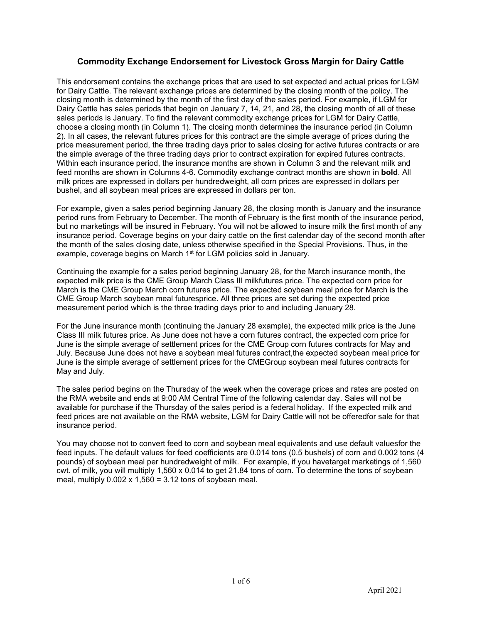## **Commodity Exchange Endorsement for Livestock Gross Margin for Dairy Cattle**

This endorsement contains the exchange prices that are used to set expected and actual prices for LGM for Dairy Cattle. The relevant exchange prices are determined by the closing month of the policy. The closing month is determined by the month of the first day of the sales period. For example, if LGM for Dairy Cattle has sales periods that begin on January 7, 14, 21, and 28, the closing month of all of these sales periods is January. To find the relevant commodity exchange prices for LGM for Dairy Cattle, choose a closing month (in Column 1). The closing month determines the insurance period (in Column 2). In all cases, the relevant futures prices for this contract are the simple average of prices during the price measurement period, the three trading days prior to sales closing for active futures contracts or are the simple average of the three trading days prior to contract expiration for expired futures contracts. Within each insurance period, the insurance months are shown in Column 3 and the relevant milk and feed months are shown in Columns 4-6. Commodity exchange contract months are shown in **bold**. All milk prices are expressed in dollars per hundredweight, all corn prices are expressed in dollars per bushel, and all soybean meal prices are expressed in dollars per ton.

For example, given a sales period beginning January 28, the closing month is January and the insurance period runs from February to December. The month of February is the first month of the insurance period, but no marketings will be insured in February. You will not be allowed to insure milk the first month of any insurance period. Coverage begins on your dairy cattle on the first calendar day of the second month after the month of the sales closing date, unless otherwise specified in the Special Provisions. Thus, in the example, coverage begins on March 1<sup>st</sup> for LGM policies sold in January.

Continuing the example for a sales period beginning January 28, for the March insurance month, the expected milk price is the CME Group March Class III milkfutures price. The expected corn price for March is the CME Group March corn futures price. The expected soybean meal price for March is the CME Group March soybean meal futuresprice. All three prices are set during the expected price measurement period which is the three trading days prior to and including January 28.

For the June insurance month (continuing the January 28 example), the expected milk price is the June Class III milk futures price. As June does not have a corn futures contract, the expected corn price for June is the simple average of settlement prices for the CME Group corn futures contracts for May and July. Because June does not have a soybean meal futures contract,the expected soybean meal price for June is the simple average of settlement prices for the CMEGroup soybean meal futures contracts for May and July.

The sales period begins on the Thursday of the week when the coverage prices and rates are posted on the RMA website and ends at 9:00 AM Central Time of the following calendar day. Sales will not be available for purchase if the Thursday of the sales period is a federal holiday. If the expected milk and feed prices are not available on the RMA website, LGM for Dairy Cattle will not be offeredfor sale for that insurance period.

You may choose not to convert feed to corn and soybean meal equivalents and use default valuesfor the feed inputs. The default values for feed coefficients are 0.014 tons (0.5 bushels) of corn and 0.002 tons (4 pounds) of soybean meal per hundredweight of milk. For example, if you havetarget marketings of 1,560 cwt. of milk, you will multiply 1,560 x 0.014 to get 21.84 tons of corn. To determine the tons of soybean meal, multiply  $0.002 \times 1,560 = 3.12$  tons of soybean meal.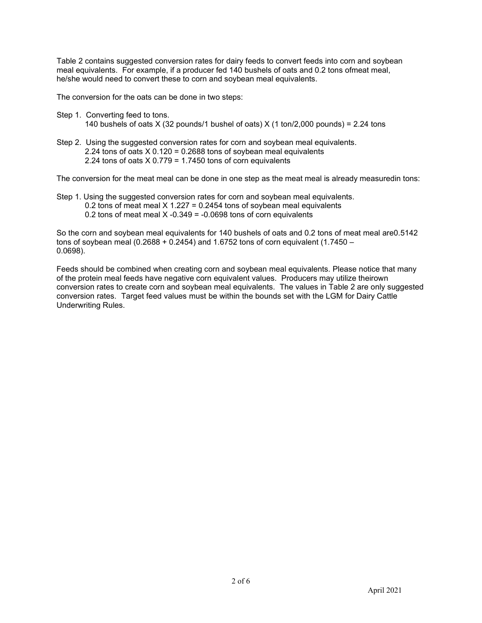Table 2 contains suggested conversion rates for dairy feeds to convert feeds into corn and soybean meal equivalents. For example, if a producer fed 140 bushels of oats and 0.2 tons ofmeat meal, he/she would need to convert these to corn and soybean meal equivalents.

The conversion for the oats can be done in two steps:

- Step 1. Converting feed to tons. 140 bushels of oats X (32 pounds/1 bushel of oats) X (1 ton/2,000 pounds) = 2.24 tons
- Step 2. Using the suggested conversion rates for corn and soybean meal equivalents. 2.24 tons of oats X 0.120 = 0.2688 tons of soybean meal equivalents 2.24 tons of oats  $X$  0.779 = 1.7450 tons of corn equivalents

The conversion for the meat meal can be done in one step as the meat meal is already measuredin tons:

Step 1. Using the suggested conversion rates for corn and soybean meal equivalents. 0.2 tons of meat meal  $X$  1.227 = 0.2454 tons of soybean meal equivalents 0.2 tons of meat meal  $X -0.349 = -0.0698$  tons of corn equivalents

So the corn and soybean meal equivalents for 140 bushels of oats and 0.2 tons of meat meal are0.5142 tons of soybean meal (0.2688 + 0.2454) and 1.6752 tons of corn equivalent (1.7450 – 0.0698).

Feeds should be combined when creating corn and soybean meal equivalents. Please notice that many of the protein meal feeds have negative corn equivalent values. Producers may utilize theirown conversion rates to create corn and soybean meal equivalents. The values in Table 2 are only suggested conversion rates. Target feed values must be within the bounds set with the LGM for Dairy Cattle Underwriting Rules.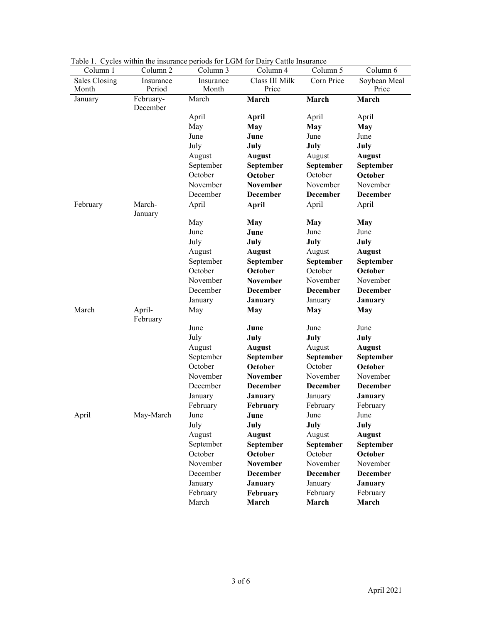| Class III Milk<br>Corn Price<br>Sales Closing<br>Soybean Meal<br>Insurance<br>Insurance<br>Period<br>Price<br>Price<br>Month<br>Month<br>March<br>February-<br>March<br>March<br>March<br>January<br>December<br>April<br>April<br>April<br>April<br>May<br><b>May</b><br><b>May</b><br>May<br>June<br>June<br>June<br>June<br>July<br>July<br>July<br>July<br>August<br>August<br><b>August</b><br><b>August</b><br>September<br>September<br>September<br>September<br>October<br>October<br>October<br>October<br>November<br>November<br>November<br>November<br>December<br><b>December</b><br><b>December</b><br><b>December</b><br>March-<br>April<br>April<br><b>April</b><br>April<br>February<br>January<br>May<br>May<br><b>May</b><br><b>May</b><br>June<br>June<br>June<br>June<br>July<br>July<br>July<br>July<br>August<br><b>August</b><br>August<br><b>August</b><br>September<br>September<br>September<br>September<br>October<br>October<br>October<br>October<br>November<br>November<br>November<br>November<br>December<br><b>December</b><br><b>December</b><br><b>December</b><br>January<br>January<br>January<br><b>January</b><br>March<br>April-<br>May<br>May<br><b>May</b><br><b>May</b><br>February<br>June<br>June<br>June<br>June<br>July<br>July<br>July<br>July<br>August<br><b>August</b><br>August<br><b>August</b><br>September<br>September<br>September<br>September<br>October<br>October<br>October<br>October<br>November<br>November<br>November<br><b>November</b><br>December<br><b>December</b><br><b>December</b><br>December<br>January<br>January<br><b>January</b><br><b>January</b><br>February<br>February<br>February<br>February<br>May-March<br>April<br>June<br>June<br>June<br>June<br>July<br>July<br>July<br>July<br>August<br><b>August</b><br>August<br><b>August</b><br>September<br>September<br>September<br>September<br>October<br>October<br>October<br>October<br>November<br><b>November</b><br>November<br>November<br>December<br><b>December</b><br><b>December</b><br><b>December</b><br>January<br><b>January</b><br>January<br><b>January</b><br>February<br>February<br>February<br>February | Column 1 | Column 2 | Lable 1. Cycles whill the insulative periods for EGTM for Dairy Cattle Histrative<br>Column 5<br>Column 3<br>Column 4 |       | Column 6 |       |
|----------------------------------------------------------------------------------------------------------------------------------------------------------------------------------------------------------------------------------------------------------------------------------------------------------------------------------------------------------------------------------------------------------------------------------------------------------------------------------------------------------------------------------------------------------------------------------------------------------------------------------------------------------------------------------------------------------------------------------------------------------------------------------------------------------------------------------------------------------------------------------------------------------------------------------------------------------------------------------------------------------------------------------------------------------------------------------------------------------------------------------------------------------------------------------------------------------------------------------------------------------------------------------------------------------------------------------------------------------------------------------------------------------------------------------------------------------------------------------------------------------------------------------------------------------------------------------------------------------------------------------------------------------------------------------------------------------------------------------------------------------------------------------------------------------------------------------------------------------------------------------------------------------------------------------------------------------------------------------------------------------------------------------------------------------------------------------------------------------------------------------------------------------------------------|----------|----------|-----------------------------------------------------------------------------------------------------------------------|-------|----------|-------|
|                                                                                                                                                                                                                                                                                                                                                                                                                                                                                                                                                                                                                                                                                                                                                                                                                                                                                                                                                                                                                                                                                                                                                                                                                                                                                                                                                                                                                                                                                                                                                                                                                                                                                                                                                                                                                                                                                                                                                                                                                                                                                                                                                                            |          |          |                                                                                                                       |       |          |       |
|                                                                                                                                                                                                                                                                                                                                                                                                                                                                                                                                                                                                                                                                                                                                                                                                                                                                                                                                                                                                                                                                                                                                                                                                                                                                                                                                                                                                                                                                                                                                                                                                                                                                                                                                                                                                                                                                                                                                                                                                                                                                                                                                                                            |          |          |                                                                                                                       |       |          |       |
|                                                                                                                                                                                                                                                                                                                                                                                                                                                                                                                                                                                                                                                                                                                                                                                                                                                                                                                                                                                                                                                                                                                                                                                                                                                                                                                                                                                                                                                                                                                                                                                                                                                                                                                                                                                                                                                                                                                                                                                                                                                                                                                                                                            |          |          |                                                                                                                       |       |          |       |
|                                                                                                                                                                                                                                                                                                                                                                                                                                                                                                                                                                                                                                                                                                                                                                                                                                                                                                                                                                                                                                                                                                                                                                                                                                                                                                                                                                                                                                                                                                                                                                                                                                                                                                                                                                                                                                                                                                                                                                                                                                                                                                                                                                            |          |          |                                                                                                                       |       |          |       |
|                                                                                                                                                                                                                                                                                                                                                                                                                                                                                                                                                                                                                                                                                                                                                                                                                                                                                                                                                                                                                                                                                                                                                                                                                                                                                                                                                                                                                                                                                                                                                                                                                                                                                                                                                                                                                                                                                                                                                                                                                                                                                                                                                                            |          |          |                                                                                                                       |       |          |       |
|                                                                                                                                                                                                                                                                                                                                                                                                                                                                                                                                                                                                                                                                                                                                                                                                                                                                                                                                                                                                                                                                                                                                                                                                                                                                                                                                                                                                                                                                                                                                                                                                                                                                                                                                                                                                                                                                                                                                                                                                                                                                                                                                                                            |          |          |                                                                                                                       |       |          |       |
|                                                                                                                                                                                                                                                                                                                                                                                                                                                                                                                                                                                                                                                                                                                                                                                                                                                                                                                                                                                                                                                                                                                                                                                                                                                                                                                                                                                                                                                                                                                                                                                                                                                                                                                                                                                                                                                                                                                                                                                                                                                                                                                                                                            |          |          |                                                                                                                       |       |          |       |
|                                                                                                                                                                                                                                                                                                                                                                                                                                                                                                                                                                                                                                                                                                                                                                                                                                                                                                                                                                                                                                                                                                                                                                                                                                                                                                                                                                                                                                                                                                                                                                                                                                                                                                                                                                                                                                                                                                                                                                                                                                                                                                                                                                            |          |          |                                                                                                                       |       |          |       |
|                                                                                                                                                                                                                                                                                                                                                                                                                                                                                                                                                                                                                                                                                                                                                                                                                                                                                                                                                                                                                                                                                                                                                                                                                                                                                                                                                                                                                                                                                                                                                                                                                                                                                                                                                                                                                                                                                                                                                                                                                                                                                                                                                                            |          |          |                                                                                                                       |       |          |       |
|                                                                                                                                                                                                                                                                                                                                                                                                                                                                                                                                                                                                                                                                                                                                                                                                                                                                                                                                                                                                                                                                                                                                                                                                                                                                                                                                                                                                                                                                                                                                                                                                                                                                                                                                                                                                                                                                                                                                                                                                                                                                                                                                                                            |          |          |                                                                                                                       |       |          |       |
|                                                                                                                                                                                                                                                                                                                                                                                                                                                                                                                                                                                                                                                                                                                                                                                                                                                                                                                                                                                                                                                                                                                                                                                                                                                                                                                                                                                                                                                                                                                                                                                                                                                                                                                                                                                                                                                                                                                                                                                                                                                                                                                                                                            |          |          |                                                                                                                       |       |          |       |
|                                                                                                                                                                                                                                                                                                                                                                                                                                                                                                                                                                                                                                                                                                                                                                                                                                                                                                                                                                                                                                                                                                                                                                                                                                                                                                                                                                                                                                                                                                                                                                                                                                                                                                                                                                                                                                                                                                                                                                                                                                                                                                                                                                            |          |          |                                                                                                                       |       |          |       |
|                                                                                                                                                                                                                                                                                                                                                                                                                                                                                                                                                                                                                                                                                                                                                                                                                                                                                                                                                                                                                                                                                                                                                                                                                                                                                                                                                                                                                                                                                                                                                                                                                                                                                                                                                                                                                                                                                                                                                                                                                                                                                                                                                                            |          |          |                                                                                                                       |       |          |       |
|                                                                                                                                                                                                                                                                                                                                                                                                                                                                                                                                                                                                                                                                                                                                                                                                                                                                                                                                                                                                                                                                                                                                                                                                                                                                                                                                                                                                                                                                                                                                                                                                                                                                                                                                                                                                                                                                                                                                                                                                                                                                                                                                                                            |          |          |                                                                                                                       |       |          |       |
|                                                                                                                                                                                                                                                                                                                                                                                                                                                                                                                                                                                                                                                                                                                                                                                                                                                                                                                                                                                                                                                                                                                                                                                                                                                                                                                                                                                                                                                                                                                                                                                                                                                                                                                                                                                                                                                                                                                                                                                                                                                                                                                                                                            |          |          |                                                                                                                       |       |          |       |
|                                                                                                                                                                                                                                                                                                                                                                                                                                                                                                                                                                                                                                                                                                                                                                                                                                                                                                                                                                                                                                                                                                                                                                                                                                                                                                                                                                                                                                                                                                                                                                                                                                                                                                                                                                                                                                                                                                                                                                                                                                                                                                                                                                            |          |          |                                                                                                                       |       |          |       |
|                                                                                                                                                                                                                                                                                                                                                                                                                                                                                                                                                                                                                                                                                                                                                                                                                                                                                                                                                                                                                                                                                                                                                                                                                                                                                                                                                                                                                                                                                                                                                                                                                                                                                                                                                                                                                                                                                                                                                                                                                                                                                                                                                                            |          |          |                                                                                                                       |       |          |       |
|                                                                                                                                                                                                                                                                                                                                                                                                                                                                                                                                                                                                                                                                                                                                                                                                                                                                                                                                                                                                                                                                                                                                                                                                                                                                                                                                                                                                                                                                                                                                                                                                                                                                                                                                                                                                                                                                                                                                                                                                                                                                                                                                                                            |          |          |                                                                                                                       |       |          |       |
|                                                                                                                                                                                                                                                                                                                                                                                                                                                                                                                                                                                                                                                                                                                                                                                                                                                                                                                                                                                                                                                                                                                                                                                                                                                                                                                                                                                                                                                                                                                                                                                                                                                                                                                                                                                                                                                                                                                                                                                                                                                                                                                                                                            |          |          |                                                                                                                       |       |          |       |
|                                                                                                                                                                                                                                                                                                                                                                                                                                                                                                                                                                                                                                                                                                                                                                                                                                                                                                                                                                                                                                                                                                                                                                                                                                                                                                                                                                                                                                                                                                                                                                                                                                                                                                                                                                                                                                                                                                                                                                                                                                                                                                                                                                            |          |          |                                                                                                                       |       |          |       |
|                                                                                                                                                                                                                                                                                                                                                                                                                                                                                                                                                                                                                                                                                                                                                                                                                                                                                                                                                                                                                                                                                                                                                                                                                                                                                                                                                                                                                                                                                                                                                                                                                                                                                                                                                                                                                                                                                                                                                                                                                                                                                                                                                                            |          |          |                                                                                                                       |       |          |       |
|                                                                                                                                                                                                                                                                                                                                                                                                                                                                                                                                                                                                                                                                                                                                                                                                                                                                                                                                                                                                                                                                                                                                                                                                                                                                                                                                                                                                                                                                                                                                                                                                                                                                                                                                                                                                                                                                                                                                                                                                                                                                                                                                                                            |          |          |                                                                                                                       |       |          |       |
|                                                                                                                                                                                                                                                                                                                                                                                                                                                                                                                                                                                                                                                                                                                                                                                                                                                                                                                                                                                                                                                                                                                                                                                                                                                                                                                                                                                                                                                                                                                                                                                                                                                                                                                                                                                                                                                                                                                                                                                                                                                                                                                                                                            |          |          |                                                                                                                       |       |          |       |
|                                                                                                                                                                                                                                                                                                                                                                                                                                                                                                                                                                                                                                                                                                                                                                                                                                                                                                                                                                                                                                                                                                                                                                                                                                                                                                                                                                                                                                                                                                                                                                                                                                                                                                                                                                                                                                                                                                                                                                                                                                                                                                                                                                            |          |          |                                                                                                                       |       |          |       |
|                                                                                                                                                                                                                                                                                                                                                                                                                                                                                                                                                                                                                                                                                                                                                                                                                                                                                                                                                                                                                                                                                                                                                                                                                                                                                                                                                                                                                                                                                                                                                                                                                                                                                                                                                                                                                                                                                                                                                                                                                                                                                                                                                                            |          |          |                                                                                                                       |       |          |       |
|                                                                                                                                                                                                                                                                                                                                                                                                                                                                                                                                                                                                                                                                                                                                                                                                                                                                                                                                                                                                                                                                                                                                                                                                                                                                                                                                                                                                                                                                                                                                                                                                                                                                                                                                                                                                                                                                                                                                                                                                                                                                                                                                                                            |          |          |                                                                                                                       |       |          |       |
|                                                                                                                                                                                                                                                                                                                                                                                                                                                                                                                                                                                                                                                                                                                                                                                                                                                                                                                                                                                                                                                                                                                                                                                                                                                                                                                                                                                                                                                                                                                                                                                                                                                                                                                                                                                                                                                                                                                                                                                                                                                                                                                                                                            |          |          |                                                                                                                       |       |          |       |
|                                                                                                                                                                                                                                                                                                                                                                                                                                                                                                                                                                                                                                                                                                                                                                                                                                                                                                                                                                                                                                                                                                                                                                                                                                                                                                                                                                                                                                                                                                                                                                                                                                                                                                                                                                                                                                                                                                                                                                                                                                                                                                                                                                            |          |          |                                                                                                                       |       |          |       |
|                                                                                                                                                                                                                                                                                                                                                                                                                                                                                                                                                                                                                                                                                                                                                                                                                                                                                                                                                                                                                                                                                                                                                                                                                                                                                                                                                                                                                                                                                                                                                                                                                                                                                                                                                                                                                                                                                                                                                                                                                                                                                                                                                                            |          |          |                                                                                                                       |       |          |       |
|                                                                                                                                                                                                                                                                                                                                                                                                                                                                                                                                                                                                                                                                                                                                                                                                                                                                                                                                                                                                                                                                                                                                                                                                                                                                                                                                                                                                                                                                                                                                                                                                                                                                                                                                                                                                                                                                                                                                                                                                                                                                                                                                                                            |          |          |                                                                                                                       |       |          |       |
|                                                                                                                                                                                                                                                                                                                                                                                                                                                                                                                                                                                                                                                                                                                                                                                                                                                                                                                                                                                                                                                                                                                                                                                                                                                                                                                                                                                                                                                                                                                                                                                                                                                                                                                                                                                                                                                                                                                                                                                                                                                                                                                                                                            |          |          |                                                                                                                       |       |          |       |
|                                                                                                                                                                                                                                                                                                                                                                                                                                                                                                                                                                                                                                                                                                                                                                                                                                                                                                                                                                                                                                                                                                                                                                                                                                                                                                                                                                                                                                                                                                                                                                                                                                                                                                                                                                                                                                                                                                                                                                                                                                                                                                                                                                            |          |          |                                                                                                                       |       |          |       |
|                                                                                                                                                                                                                                                                                                                                                                                                                                                                                                                                                                                                                                                                                                                                                                                                                                                                                                                                                                                                                                                                                                                                                                                                                                                                                                                                                                                                                                                                                                                                                                                                                                                                                                                                                                                                                                                                                                                                                                                                                                                                                                                                                                            |          |          |                                                                                                                       |       |          |       |
|                                                                                                                                                                                                                                                                                                                                                                                                                                                                                                                                                                                                                                                                                                                                                                                                                                                                                                                                                                                                                                                                                                                                                                                                                                                                                                                                                                                                                                                                                                                                                                                                                                                                                                                                                                                                                                                                                                                                                                                                                                                                                                                                                                            |          |          |                                                                                                                       |       |          |       |
|                                                                                                                                                                                                                                                                                                                                                                                                                                                                                                                                                                                                                                                                                                                                                                                                                                                                                                                                                                                                                                                                                                                                                                                                                                                                                                                                                                                                                                                                                                                                                                                                                                                                                                                                                                                                                                                                                                                                                                                                                                                                                                                                                                            |          |          |                                                                                                                       |       |          |       |
|                                                                                                                                                                                                                                                                                                                                                                                                                                                                                                                                                                                                                                                                                                                                                                                                                                                                                                                                                                                                                                                                                                                                                                                                                                                                                                                                                                                                                                                                                                                                                                                                                                                                                                                                                                                                                                                                                                                                                                                                                                                                                                                                                                            |          |          |                                                                                                                       |       |          |       |
|                                                                                                                                                                                                                                                                                                                                                                                                                                                                                                                                                                                                                                                                                                                                                                                                                                                                                                                                                                                                                                                                                                                                                                                                                                                                                                                                                                                                                                                                                                                                                                                                                                                                                                                                                                                                                                                                                                                                                                                                                                                                                                                                                                            |          |          |                                                                                                                       |       |          |       |
|                                                                                                                                                                                                                                                                                                                                                                                                                                                                                                                                                                                                                                                                                                                                                                                                                                                                                                                                                                                                                                                                                                                                                                                                                                                                                                                                                                                                                                                                                                                                                                                                                                                                                                                                                                                                                                                                                                                                                                                                                                                                                                                                                                            |          |          |                                                                                                                       |       |          |       |
|                                                                                                                                                                                                                                                                                                                                                                                                                                                                                                                                                                                                                                                                                                                                                                                                                                                                                                                                                                                                                                                                                                                                                                                                                                                                                                                                                                                                                                                                                                                                                                                                                                                                                                                                                                                                                                                                                                                                                                                                                                                                                                                                                                            |          |          |                                                                                                                       |       |          |       |
|                                                                                                                                                                                                                                                                                                                                                                                                                                                                                                                                                                                                                                                                                                                                                                                                                                                                                                                                                                                                                                                                                                                                                                                                                                                                                                                                                                                                                                                                                                                                                                                                                                                                                                                                                                                                                                                                                                                                                                                                                                                                                                                                                                            |          |          |                                                                                                                       |       |          |       |
|                                                                                                                                                                                                                                                                                                                                                                                                                                                                                                                                                                                                                                                                                                                                                                                                                                                                                                                                                                                                                                                                                                                                                                                                                                                                                                                                                                                                                                                                                                                                                                                                                                                                                                                                                                                                                                                                                                                                                                                                                                                                                                                                                                            |          |          | March                                                                                                                 | March | March    | March |

Table 1. Cycles within the insurance periods for LGM for Dairy Cattle Insurance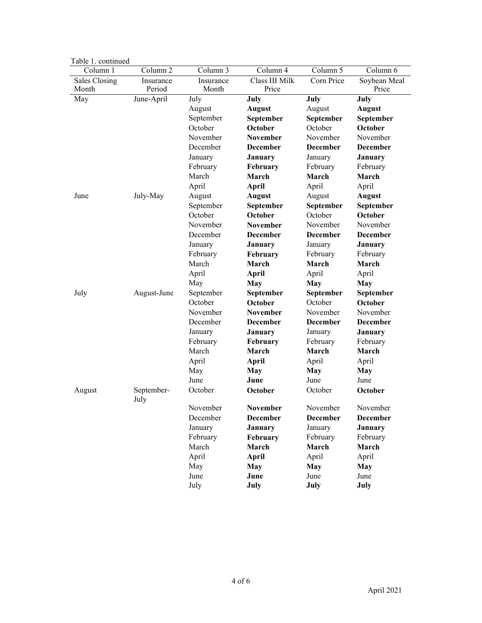| Table 1. Commute |                     |           |                 |                 |                 |
|------------------|---------------------|-----------|-----------------|-----------------|-----------------|
| Column 1         | Column <sub>2</sub> | Column 3  | Column 4        | Column 5        | Column 6        |
| Sales Closing    | Insurance           | Insurance | Class III Milk  | Corn Price      | Soybean Meal    |
| Month            | Period              | Month     | Price           |                 | Price           |
| May              | June-April          | July      | July            | July            | July            |
|                  |                     | August    | <b>August</b>   | August          | <b>August</b>   |
|                  |                     | September | September       | September       | September       |
|                  |                     | October   | October         | October         | October         |
|                  |                     | November  | <b>November</b> | November        | November        |
|                  |                     | December  | <b>December</b> | <b>December</b> | <b>December</b> |
|                  |                     | January   | January         | January         | January         |
|                  |                     | February  | February        | February        | February        |
|                  |                     | March     | March           | March           | March           |
|                  |                     | April     | <b>April</b>    | April           | April           |
| June             | July-May            | August    | <b>August</b>   | August          | <b>August</b>   |
|                  |                     | September | September       | September       | September       |
|                  |                     | October   | October         | October         | October         |
|                  |                     | November  | <b>November</b> | November        | November        |
|                  |                     | December  | <b>December</b> | <b>December</b> | <b>December</b> |
|                  |                     | January   | January         | January         | January         |
|                  |                     | February  | February        | February        | February        |
|                  |                     | March     | March           | March           | March           |
|                  |                     | April     | April           | April           | April           |
|                  |                     | May       | May             | <b>May</b>      | May             |
| July             | August-June         | September | September       | September       | September       |
|                  |                     | October   | October         | October         | October         |
|                  |                     | November  | <b>November</b> | November        | November        |
|                  |                     | December  | <b>December</b> | <b>December</b> | <b>December</b> |
|                  |                     | January   | January         | January         | January         |
|                  |                     | February  | February        | February        | February        |
|                  |                     | March     | March           | March           | March           |
|                  |                     | April     | <b>April</b>    | April           | April           |
|                  |                     | May       | May             | <b>May</b>      | <b>May</b>      |
|                  |                     | June      | June            | June            | June            |
| August           | September-<br>July  | October   | October         | October         | October         |
|                  |                     | November  | <b>November</b> | November        | November        |
|                  |                     | December  | <b>December</b> | <b>December</b> | December        |
|                  |                     | January   | <b>January</b>  | January         | January         |
|                  |                     | February  | February        | February        | February        |
|                  |                     | March     | March           | March           | March           |
|                  |                     | April     | April           | April           | April           |
|                  |                     | May       | <b>May</b>      | <b>May</b>      | <b>May</b>      |
|                  |                     | June      | June            | June            | June            |
|                  |                     | July      | July            | July            | July            |
|                  |                     |           |                 |                 |                 |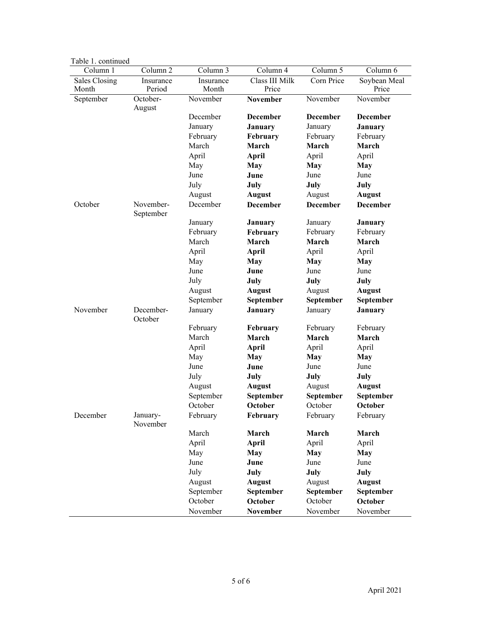| Tavit I. commuta       |                        |                    |                         |                 |                       |
|------------------------|------------------------|--------------------|-------------------------|-----------------|-----------------------|
| Column 1               | Column <sub>2</sub>    | Column 3           | Column 4                | Column 5        | Column 6              |
| Sales Closing<br>Month | Insurance<br>Period    | Insurance<br>Month | Class III Milk<br>Price | Corn Price      | Soybean Meal<br>Price |
| September              | October-<br>August     | November           | November                | November        | November              |
|                        |                        | December           | <b>December</b>         | December        | December              |
|                        |                        | January            | January                 | January         | January               |
|                        |                        | February           | February                | February        | February              |
|                        |                        | March              | March                   | March           | March                 |
|                        |                        | April              | April                   | April           | April                 |
|                        |                        | May                | <b>May</b>              | May             | <b>May</b>            |
|                        |                        | June               | June                    | June            | June                  |
|                        |                        | July               | July                    | July            | July                  |
|                        |                        | August             | <b>August</b>           | August          | <b>August</b>         |
| October                | November-<br>September | December           | <b>December</b>         | <b>December</b> | <b>December</b>       |
|                        |                        | January            | January                 | January         | January               |
|                        |                        | February           | February                | February        | February              |
|                        |                        | March              | March                   | March           | March                 |
|                        |                        | April              | <b>April</b>            | April           | April                 |
|                        |                        | May                | May                     | May             | <b>May</b>            |
|                        |                        | June               | June                    | June            | June                  |
|                        |                        | July               | July                    | July            | July                  |
|                        |                        | August             | <b>August</b>           | August          | <b>August</b>         |
|                        |                        | September          | September               | September       | September             |
| November               | December-<br>October   | January            | January                 | January         | <b>January</b>        |
|                        |                        | February           | February                | February        | February              |
|                        |                        | March              | March                   | March           | March                 |
|                        |                        | April              | April                   | April           | April                 |
|                        |                        | May                | May                     | <b>May</b>      | May                   |
|                        |                        | June               | June                    | June            | June                  |
|                        |                        | July               | July                    | July            | July                  |
|                        |                        | August             | <b>August</b>           | August          | <b>August</b>         |
|                        |                        | September          | September               | September       | September             |
|                        |                        | October            | October                 | October         | October               |
| December               | January-<br>November   | February           | February                | February        | February              |
|                        |                        | March              | March                   | March           | March                 |
|                        |                        | April              | <b>April</b>            | April           | April                 |
|                        |                        | May                | <b>May</b>              | <b>May</b>      | <b>May</b>            |
|                        |                        | June               | June                    | June            | June                  |
|                        |                        | July               | July                    | July            | July                  |
|                        |                        | August             | <b>August</b>           | August          | <b>August</b>         |
|                        |                        | September          | September               | September       | September             |
|                        |                        | October            | October                 | October         | October               |
|                        |                        | November           | November                | November        | November              |

|  | Table 1. continued |
|--|--------------------|
|  |                    |